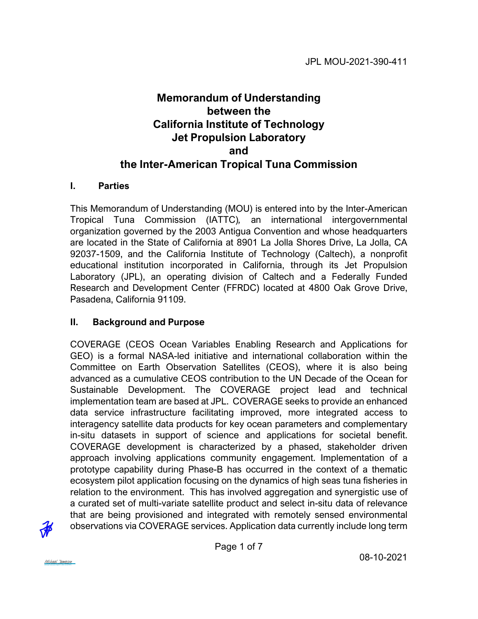# **Memorandum of Understanding between the California Institute of Technology Jet Propulsion Laboratory and the Inter-American Tropical Tuna Commission**

#### **I. Parties**

This Memorandum of Understanding (MOU) is entered into by the Inter-American Tropical Tuna Commission (IATTC)*,* an international intergovernmental organization governed by the 2003 Antigua Convention and whose headquarters are located in the State of California at 8901 La Jolla Shores Drive, La Jolla, CA 92037-1509, and the California Institute of Technology (Caltech), a nonprofit educational institution incorporated in California, through its Jet Propulsion Laboratory (JPL), an operating division of Caltech and a Federally Funded Research and Development Center (FFRDC) located at 4800 Oak Grove Drive, Pasadena, California 91109.

### **II. Background and Purpose**

COVERAGE (CEOS Ocean Variables Enabling Research and Applications for GEO) is a formal NASA-led initiative and international collaboration within the Committee on Earth Observation Satellites (CEOS), where it is also being advanced as a cumulative CEOS contribution to the UN Decade of the Ocean for Sustainable Development. The COVERAGE project lead and technical implementation team are based at JPL. COVERAGE seeks to provide an enhanced data service infrastructure facilitating improved, more integrated access to interagency satellite data products for key ocean parameters and complementary in-situ datasets in support of science and applications for societal benefit. COVERAGE development is characterized by a phased, stakeholder driven approach involving applications community engagement. Implementation of a prototype capability during Phase-B has occurred in the context of a thematic ecosystem pilot application focusing on the dynamics of high seas tuna fisheries in relation to the environment. This has involved aggregation and synergistic use of a curated set of multi-variate satellite product and select in-situ data of relevance that are being provisioned and integrated with remotely sensed environmental observations via COVERAGE services. Application data currently include long term



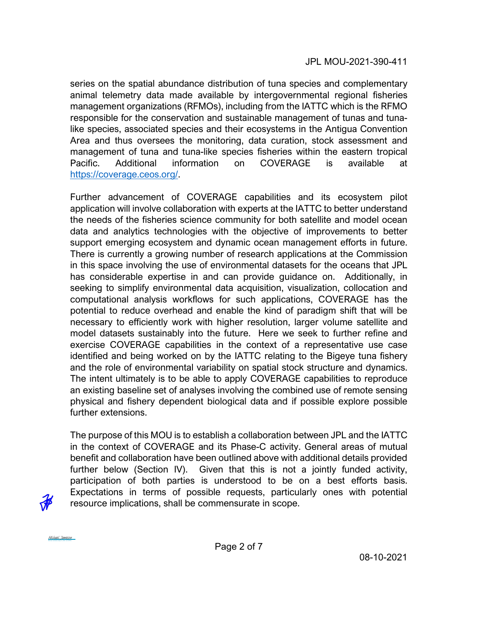JPL MOU-2021-390-411

series on the spatial abundance distribution of tuna species and complementary animal telemetry data made available by intergovernmental regional fisheries management organizations (RFMOs), including from the IATTC which is the RFMO responsible for the conservation and sustainable management of tunas and tunalike species, associated species and their ecosystems in the Antigua Convention Area and thus oversees the monitoring, data curation, stock assessment and management of tuna and tuna-like species fisheries within the eastern tropical Pacific. Additional information on COVERAGE is available at [https://coverage.ceos.org/.](https://coverage.ceos.org/)

Further advancement of COVERAGE capabilities and its ecosystem pilot application will involve collaboration with experts at the IATTC to better understand the needs of the fisheries science community for both satellite and model ocean data and analytics technologies with the objective of improvements to better support emerging ecosystem and dynamic ocean management efforts in future. There is currently a growing number of research applications at the Commission in this space involving the use of environmental datasets for the oceans that JPL has considerable expertise in and can provide guidance on. Additionally, in seeking to simplify environmental data acquisition, visualization, collocation and computational analysis workflows for such applications, COVERAGE has the potential to reduce overhead and enable the kind of paradigm shift that will be necessary to efficiently work with higher resolution, larger volume satellite and model datasets sustainably into the future. Here we seek to further refine and exercise COVERAGE capabilities in the context of a representative use case identified and being worked on by the IATTC relating to the Bigeye tuna fishery and the role of environmental variability on spatial stock structure and dynamics. The intent ultimately is to be able to apply COVERAGE capabilities to reproduce an existing baseline set of analyses involving the combined use of remote sensing physical and fishery dependent biological data and if possible explore possible further extensions.

The purpose of this MOU is to establish a collaboration between JPL and the IATTC in the context of COVERAGE and its Phase-C activity. General areas of mutual benefit and collaboration have been outlined above with additional details provided further below (Section IV). Given that this is not a jointly funded activity, participation of both parties is understood to be on a best efforts basis. Expectations in terms of possible requests, particularly ones with potential resource implications, shall be commensurate in scope.



[Michael Jameson](https://na2.documents.adobe.com/verifier?tx=CBJCHBCAABAAQG9VC3VbvqrWQ_8uccJFg5Gl2lJUxPAl)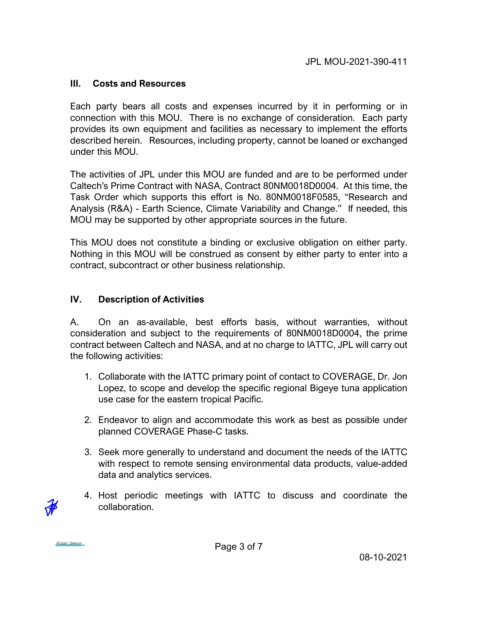#### **III. Costs and Resources**

Each party bears all costs and expenses incurred by it in performing or in connection with this MOU. There is no exchange of consideration. Each party provides its own equipment and facilities as necessary to implement the efforts described herein. Resources, including property, cannot be loaned or exchanged under this MOU.

The activities of JPL under this MOU are funded and are to be performed under Caltech's Prime Contract with NASA, Contract 80NM0018D0004. At this time, the Task Order which supports this effort is No. 80NM0018F0585, "Research and Analysis (R&A) - Earth Science, Climate Variability and Change." If needed, this MOU may be supported by other appropriate sources in the future.

This MOU does not constitute a binding or exclusive obligation on either party. Nothing in this MOU will be construed as consent by either party to enter into a contract, subcontract or other business relationship.

### **IV. Description of Activities**

A. On an as-available, best efforts basis, without warranties, without consideration and subject to the requirements of 80NM0018D0004, the prime contract between Caltech and NASA, and at no charge to IATTC, JPL will carry out the following activities:

- 1. Collaborate with the IATTC primary point of contact to COVERAGE, Dr. Jon Lopez, to scope and develop the specific regional Bigeye tuna application use case for the eastern tropical Pacific.
- 2. Endeavor to align and accommodate this work as best as possible under planned COVERAGE Phase-C tasks.
- 3. Seek more generally to understand and document the needs of the IATTC with respect to remote sensing environmental data products, value-added data and analytics services.
- 4. Host periodic meetings with IATTC to discuss and coordinate the collaboration.

[Michael Jameson](https://na2.documents.adobe.com/verifier?tx=CBJCHBCAABAAQG9VC3VbvqrWQ_8uccJFg5Gl2lJUxPAl)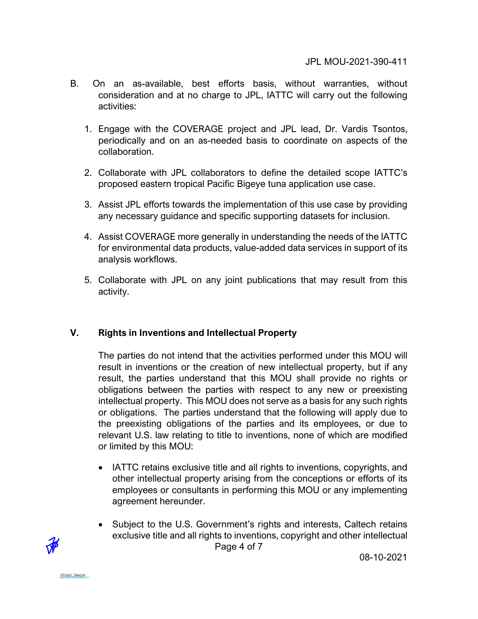- B. On an as-available, best efforts basis, without warranties, without consideration and at no charge to JPL, IATTC will carry out the following activities:
	- 1. Engage with the COVERAGE project and JPL lead, Dr. Vardis Tsontos, periodically and on an as-needed basis to coordinate on aspects of the collaboration.
	- 2. Collaborate with JPL collaborators to define the detailed scope IATTC's proposed eastern tropical Pacific Bigeye tuna application use case.
	- 3. Assist JPL efforts towards the implementation of this use case by providing any necessary guidance and specific supporting datasets for inclusion.
	- 4. Assist COVERAGE more generally in understanding the needs of the IATTC for environmental data products, value-added data services in support of its analysis workflows.
	- 5. Collaborate with JPL on any joint publications that may result from this activity.

# **V. Rights in Inventions and Intellectual Property**

The parties do not intend that the activities performed under this MOU will result in inventions or the creation of new intellectual property, but if any result, the parties understand that this MOU shall provide no rights or obligations between the parties with respect to any new or preexisting intellectual property. This MOU does not serve as a basis for any such rights or obligations. The parties understand that the following will apply due to the preexisting obligations of the parties and its employees, or due to relevant U.S. law relating to title to inventions, none of which are modified or limited by this MOU:

- IATTC retains exclusive title and all rights to inventions, copyrights, and other intellectual property arising from the conceptions or efforts of its employees or consultants in performing this MOU or any implementing agreement hereunder.
- Page 4 of 7 • Subject to the U.S. Government's rights and interests, Caltech retains exclusive title and all rights to inventions, copyright and other intellectual

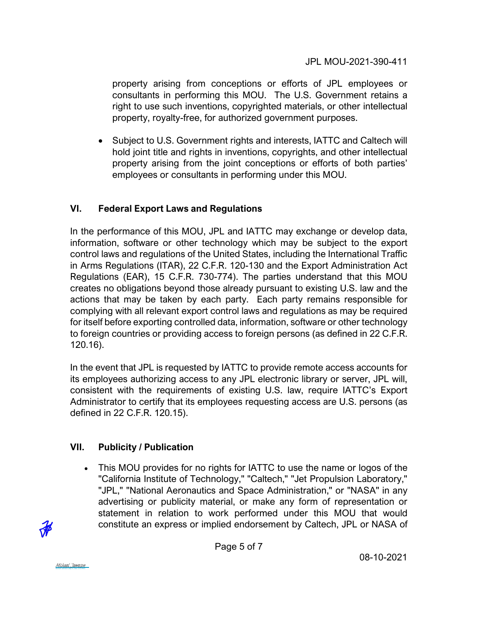JPL MOU-2021-390-411

property arising from conceptions or efforts of JPL employees or consultants in performing this MOU. The U.S. Government retains a right to use such inventions, copyrighted materials, or other intellectual property, royalty-free, for authorized government purposes.

• Subject to U.S. Government rights and interests, IATTC and Caltech will hold joint title and rights in inventions, copyrights, and other intellectual property arising from the joint conceptions or efforts of both parties' employees or consultants in performing under this MOU.

# **VI. Federal Export Laws and Regulations**

In the performance of this MOU, JPL and IATTC may exchange or develop data, information, software or other technology which may be subject to the export control laws and regulations of the United States, including the International Traffic in Arms Regulations (ITAR), 22 C.F.R. 120-130 and the Export Administration Act Regulations (EAR), 15 C.F.R. 730-774). The parties understand that this MOU creates no obligations beyond those already pursuant to existing U.S. law and the actions that may be taken by each party. Each party remains responsible for complying with all relevant export control laws and regulations as may be required for itself before exporting controlled data, information, software or other technology to foreign countries or providing access to foreign persons (as defined in 22 C.F.R. 120.16).

In the event that JPL is requested by IATTC to provide remote access accounts for its employees authorizing access to any JPL electronic library or server, JPL will, consistent with the requirements of existing U.S. law, require IATTC's Export Administrator to certify that its employees requesting access are U.S. persons (as defined in 22 C.F.R. 120.15).

# **VII. Publicity / Publication**

• This MOU provides for no rights for IATTC to use the name or logos of the "California Institute of Technology," "Caltech," "Jet Propulsion Laboratory," "JPL," "National Aeronautics and Space Administration," or "NASA" in any advertising or publicity material, or make any form of representation or statement in relation to work performed under this MOU that would constitute an express or implied endorsement by Caltech, JPL or NASA of



Page 5 of 7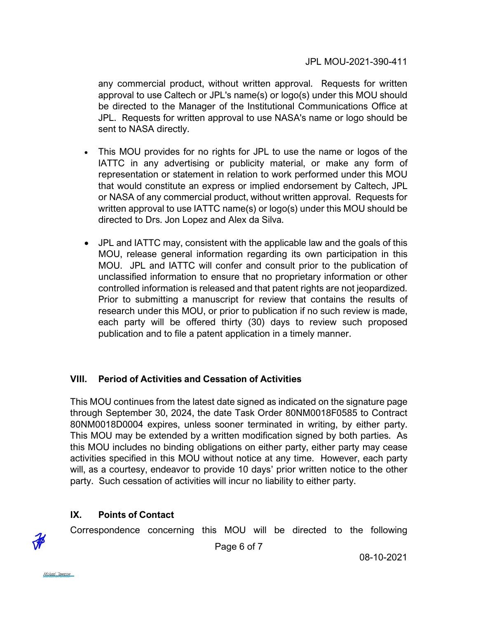any commercial product, without written approval. Requests for written approval to use Caltech or JPL's name(s) or logo(s) under this MOU should be directed to the Manager of the Institutional Communications Office at JPL. Requests for written approval to use NASA's name or logo should be sent to NASA directly.

- This MOU provides for no rights for JPL to use the name or logos of the IATTC in any advertising or publicity material, or make any form of representation or statement in relation to work performed under this MOU that would constitute an express or implied endorsement by Caltech, JPL or NASA of any commercial product, without written approval. Requests for written approval to use IATTC name(s) or logo(s) under this MOU should be directed to Drs. Jon Lopez and Alex da Silva.
- JPL and IATTC may, consistent with the applicable law and the goals of this MOU, release general information regarding its own participation in this MOU. JPL and IATTC will confer and consult prior to the publication of unclassified information to ensure that no proprietary information or other controlled information is released and that patent rights are not jeopardized. Prior to submitting a manuscript for review that contains the results of research under this MOU, or prior to publication if no such review is made, each party will be offered thirty (30) days to review such proposed publication and to file a patent application in a timely manner.

### **VIII. Period of Activities and Cessation of Activities**

This MOU continues from the latest date signed as indicated on the signature page through September 30, 2024, the date Task Order 80NM0018F0585 to Contract 80NM0018D0004 expires, unless sooner terminated in writing, by either party. This MOU may be extended by a written modification signed by both parties. As this MOU includes no binding obligations on either party, either party may cease activities specified in this MOU without notice at any time. However, each party will, as a courtesy, endeavor to provide 10 days' prior written notice to the other party. Such cessation of activities will incur no liability to either party.

# **IX. Points of Contact**

Correspondence concerning this MOU will be directed to the following



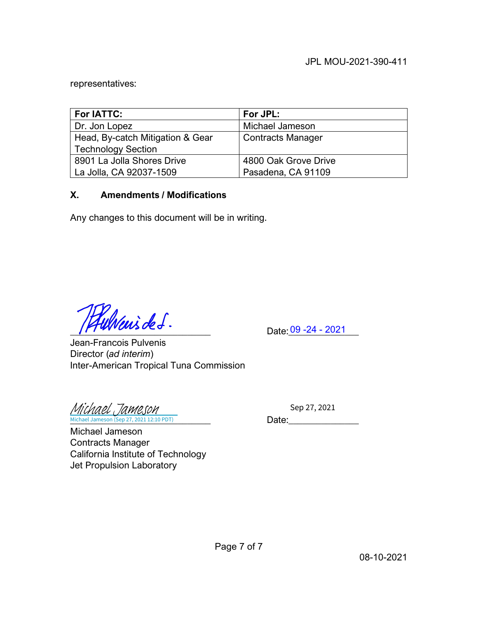representatives:

| For IATTC:                       | For JPL:             |
|----------------------------------|----------------------|
| Dr. Jon Lopez                    | Michael Jameson      |
| Head, By-catch Mitigation & Gear | Contracts Manager    |
| <b>Technology Section</b>        |                      |
| 8901 La Jolla Shores Drive       | 4800 Oak Grove Drive |
| La Jolla, CA 92037-1509          | Pasadena, CA 91109   |

### **X. Amendments / Modifications**

Any changes to this document will be in writing.

 $Date: 09 - 24 - 2021$ 

Jean-Francois Pulvenis Director (*ad interim*) Inter-American Tropical Tuna Commission

Michael Jameson (Sep 27, 2021 12:10 PDT) **Date: Date:** [Michael Jameson](https://na2.documents.adobe.com/verifier?tx=CBJCHBCAABAAQG9VC3VbvqrWQ_8uccJFg5Gl2lJUxPAl)

Sep 27, 2021

Michael Jameson Contracts Manager California Institute of Technology Jet Propulsion Laboratory